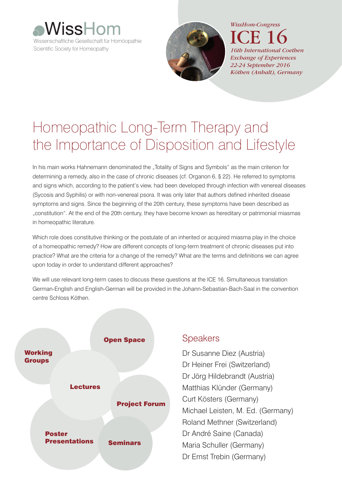



ICE 16 *16th International Coethen Exchange of Experiences 22-24 September 2016 Köthen (Anhalt), Germany*

# Homeopathic Long-Term Therapy and the Importance of Disposition and Lifestyle

In his main works Hahnemann denominated the "Totality of Signs and Symbols" as the main criterion for determining a remedy, also in the case of chronic diseases (cf. Organon 6, § 22). He referred to symptoms and signs which, according to the patient's view, had been developed through infection with venereal diseases (Sycosis and Syphilis) or with non-venereal psora. It was only later that authors defined inherited disease symptoms and signs. Since the beginning of the 20th century, these symptoms have been described as "constitution". At the end of the 20th century, they have become known as hereditary or patrimonial miasmas in homeopathic literature.

Which role does constitutive thinking or the postulate of an inherited or acquired miasma play in the choice of a homeopathic remedy? How are different concepts of long-term treatment of chronic diseases put into practice? What are the criteria for a change of the remedy? What are the terms and definitions we can agree upon today in order to understand different approaches?

We will use relevant long-term cases to discuss these questions at the ICE 16. Simultaneous translation German-English and English-German will be provided in the Johann-Sebastian-Bach-Saal in the convention centre Schloss Köthen.



# **Speakers**

Dr Susanne Diez (Austria) Dr Heiner Frei (Switzerland) Dr Jörg Hildebrandt (Austria) Matthias Klünder (Germany) Curt Kösters (Germany) Michael Leisten, M. Ed. (Germany) Roland Methner (Switzerland) Dr André Saine (Canada) Maria Schuller (Germany) Dr Ernst Trebin (Germany)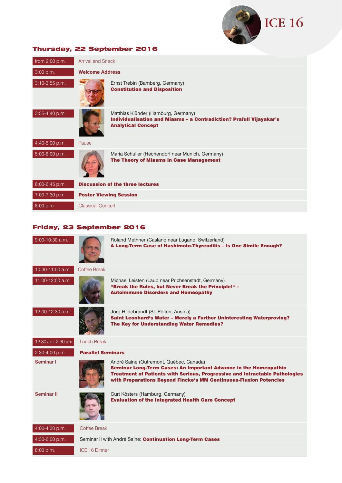

# Thursday, 22 September 2016

| from $2:00$ p.m. | <b>Arrival and Snack</b>      |                                                                                                                                                |  |  |
|------------------|-------------------------------|------------------------------------------------------------------------------------------------------------------------------------------------|--|--|
|                  |                               |                                                                                                                                                |  |  |
| 3:00 p.m.        | <b>Welcome Address</b>        |                                                                                                                                                |  |  |
| 3:10-3:55 p.m.   |                               | Ernst Trebin (Bamberg, Germany)<br><b>Constitution and Disposition</b>                                                                         |  |  |
| 3:55-4:40 p.m.   |                               | Matthias Klünder (Hamburg, Germany)<br><b>Individualisation and Miasms - a Contradiction? Prafull Vijayakar's</b><br><b>Analytical Concept</b> |  |  |
| 4:40-5:00 p.m.   | Pause                         |                                                                                                                                                |  |  |
| 5:00-6:00 p.m.   |                               | Maria Schuller (Hechendorf near Munich, Germany)<br>The Theory of Miasms in Case Management                                                    |  |  |
| 6:00-6:45 p.m.   |                               | <b>Discussion of the three lectures</b>                                                                                                        |  |  |
| 7:00-7:30 p.m.   | <b>Poster Viewing Session</b> |                                                                                                                                                |  |  |
| 8:00 p.m.        | <b>Classical Concert</b>      |                                                                                                                                                |  |  |

# Friday, 23 September 2016

| 9:00-10:30 a.m.      |                          | Roland Methner (Caslano near Lugano, Switzerland)<br>A Long-Term Case of Hashimoto-Thyreoditis - Is One Simile Enough?                                                                                   |
|----------------------|--------------------------|----------------------------------------------------------------------------------------------------------------------------------------------------------------------------------------------------------|
| 10:30-11:00 a.m.     | Coffee Break             |                                                                                                                                                                                                          |
| 11:00-12:00 a.m.     |                          | Michael Leisten (Laub near Prichsenstadt, Germany)<br>"Break the Rules, but Never Break the Principle!" -<br><b>Autoimmune Disorders and Homeopathy</b>                                                  |
| 12:00-12:30 a.m.     |                          | Jörg Hildebrandt (St. Pölten, Austria)<br>Saint Leonhard's Water - Merely a Further Uninteresting Waterproving?<br>The Key for Understanding Water Remedies?                                             |
| 12:30 a.m.-2:30 p.m. | <b>Lunch Break</b>       |                                                                                                                                                                                                          |
| 2:30-4:00 p.m.       | <b>Parallel Seminars</b> |                                                                                                                                                                                                          |
| Seminar I            |                          | André Saine (Outremont, Québec, Canada)<br><b>Seminar Long-Term Cases: An Important Advance in the Homeopathic</b><br><b>Treatment of Patients with Serious, Progressive and Intractable Pathologies</b> |
|                      |                          | with Preparations Beyond Fincke's MM Continuous-Fluxion Potencies                                                                                                                                        |
| Seminar II           |                          | Curt Kösters (Hamburg, Germany)<br><b>Evaluation of the Integrated Health Care Concept</b>                                                                                                               |
| 4:00-4:30 p.m.       | Coffee Break             |                                                                                                                                                                                                          |
| 4:30-6:00 p.m.       |                          | Seminar II with André Saine: Continuation Long-Term Cases                                                                                                                                                |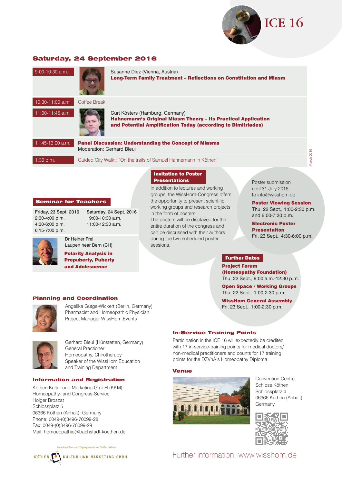

**Long-Term Equipment Constitution and Miasm** 

# Saturday, 24 September 2016

| 9:00-10:30 a.m.  |                           | Susanne Diez (Vienna, Austria)<br><b>Long-Term Family Treatment - Reflections on Constitution and I</b>                                                                 |
|------------------|---------------------------|-------------------------------------------------------------------------------------------------------------------------------------------------------------------------|
| 10:30-11:00 a.m. | Coffee Break              |                                                                                                                                                                         |
| 11:00-11:45 a.m. |                           | Curt Kösters (Hamburg, Germany)<br><b>Hahnemann's Original Miasm Theory - Its Practical Application</b><br>and Potential Amplification Today (according to Dimitriades) |
| 11:45-13:00 a.m. | Moderation: Gerhard Bleul | <b>Panel Discussion: Understanding the Concept of Miasms</b>                                                                                                            |
| $1:30$ p.m.      |                           | Guided City Walk:: "On the trails of Samuel Hahnemann in Köthen"                                                                                                        |
|                  |                           |                                                                                                                                                                         |

Vlarch 2016 March 2016

# Seminar for Teachers

2:30-4:00 p.m. 4:30-6:00 p.m. 11:00-12:30 a.m. 6:15-7:00 p.m.

Friday, 23 Sept. 2016 Saturday, 24 Sept. 2016<br>2:30-4:00 n m<br>9:00-10:30 a m

 $9:00 - 10$ 

> Laupen near Bern (CH) Polarity Analysis in

Prepuberty, Puberty and Adolescence

# Planning and Coordination

Dr Heiner Frei



Angelika Gutge-Wickert (Berlin, Germany) Pharmacist and Homeopathic Physician Project Manager WissHom Events



Gerhard Bleul (Hünstetten, Germany) General Practioner Homeopathy, Chirotherapy Speaker of the WissHom Education and Training Department

# Information and Registration

Köthen Kultur und Marketing GmbH (KKM) Homeopathy- and Congress-Service Holger Broszat Schlossplatz 5 06366 Köthen (Anhalt), Germany Phone: 0049-(0)3496-70099-28 Fax: 0049-(0)3496-70099-29 Mail: homoeopathie@bachstadt-koethen.de

und Tagungsservice im Schloss Köthen KULTUR UND MARKETING GMBH **KÖTHEN** 

#### In-Service Training Points

Participation in the ICE 16 will expectedly be credited with 17 in-service-training points for medical doctors/ non-medical practitioners and counts for 17 training points for the DZVhÄ's Homeopathy Diploma.

# Venue

Invitation to Poster Presentations

in the form of posters.

sessions.

In addition to lectures and working groups, the WissHom-Congress offers the opportunity to present scientific working groups and research projects

The posters will be displayed for the entire duration of the congress and can be discussed with their authors during the two scheduled poster



Convention Centre Schloss Köthen Schlossplatz 4 06366 Köthen (Anhalt) **Germany** 



Further information: www.wisshom.de

to info@wisshom.de Poster Viewing Session Thu, 22 Sept., 1:00-2:30 p.m. and 6:00-7:30 p.m.

Poster submission until 31 July 2016

Electronic Poster Presentaiton Fri, 23 Sept., 4:30-6:00 p.m.

# Further Dates

Project Forum (Homeopathy Foundation) Thu, 22 Sept., 9:00 a.m.-12:30 p.m.

Open Space / Working Groups

Thu, 22 Sept., 1:00-2:30 p.m.

WissHom General Assembly Fri, 23 Sept., 1:00-2:30 p.m.